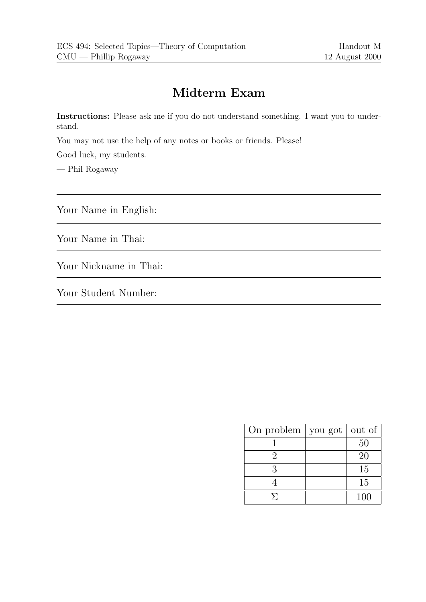# Midterm Exam

Instructions: Please ask me if you do not understand something. I want you to understand.

You may not use the help of any notes or books or friends. Please!

Good luck, my students.

— Phil Rogaway

Your Name in English:

Your Name in Thai:

Your Nickname in Thai:

Your Student Number:

| On problem $\vert$ you got $\vert$ | out of |
|------------------------------------|--------|
|                                    | 50     |
| '2                                 | 20     |
| З                                  | 15     |
|                                    | 15     |
|                                    | 100    |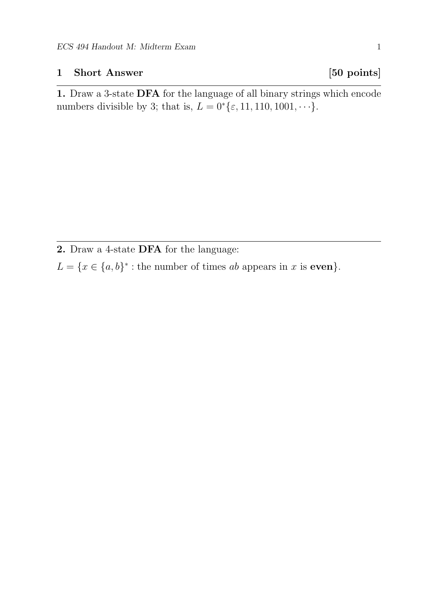## 1 Short Answer [50 points]

1. Draw a 3-state DFA for the language of all binary strings which encode numbers divisible by 3; that is,  $L = 0$ <sup>\*</sup>{ $\varepsilon$ , 11, 110, 1001, · · ·}.

2. Draw a 4-state DFA for the language:

 $L = \{x \in \{a, b\}^* : \text{the number of times } ab \text{ appears in } x \text{ is even}\}.$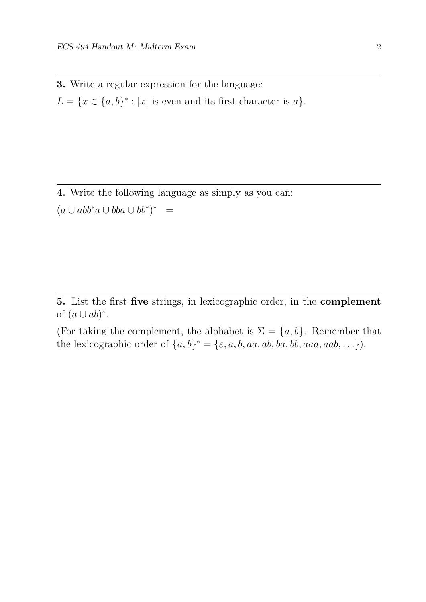3. Write a regular expression for the language:  $L = \{x \in \{a, b\}^* : |x| \text{ is even and its first character is } a\}.$ 

4. Write the following language as simply as you can:  $(a \cup abb^*a \cup bba \cup bb^*)^* =$ 

5. List the first five strings, in lexicographic order, in the complement of  $(a \cup ab)^*$ .

(For taking the complement, the alphabet is  $\Sigma = \{a, b\}$ . Remember that the lexicographic order of  $\{a, b\}^* = \{\varepsilon, a, b, aa, ab, ba, bb, aaa, aab, \ldots\}$ .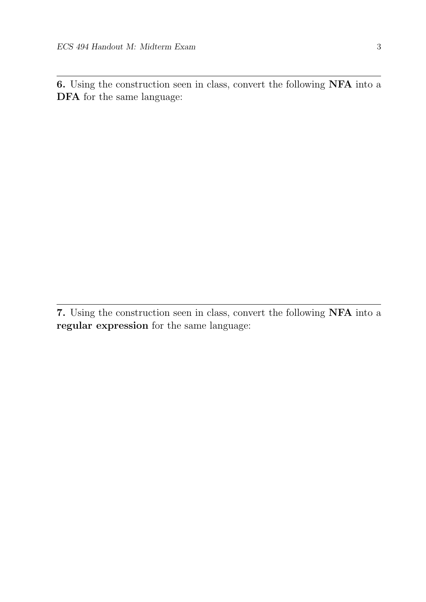6. Using the construction seen in class, convert the following NFA into a DFA for the same language:

<sup>7.</sup> Using the construction seen in class, convert the following NFA into a regular expression for the same language: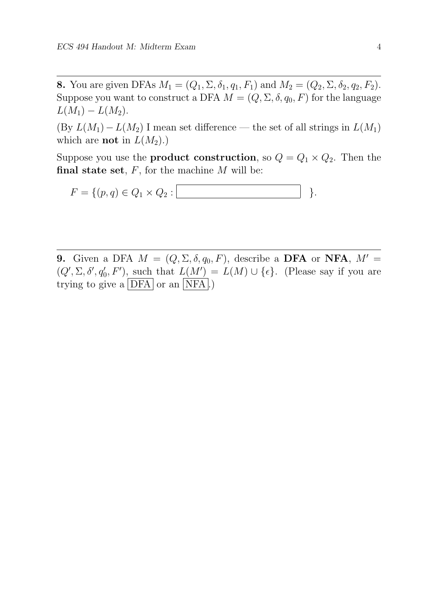**8.** You are given DFAs  $M_1 = (Q_1, \Sigma, \delta_1, q_1, F_1)$  and  $M_2 = (Q_2, \Sigma, \delta_2, q_2, F_2)$ . Suppose you want to construct a DFA  $M = (Q, \Sigma, \delta, q_0, F)$  for the language  $L(M_1) - L(M_2)$ .

(By  $L(M_1) - L(M_2)$  I mean set difference — the set of all strings in  $L(M_1)$ ) which are **not** in  $L(M_2)$ .)

Suppose you use the **product construction**, so  $Q = Q_1 \times Q_2$ . Then the final state set,  $F$ , for the machine  $M$  will be:

 $F = \{(p, q) \in Q_1 \times Q_2 : |$ 

9. Given a DFA  $M = (Q, \Sigma, \delta, q_0, F)$ , describe a DFA or NFA,  $M' =$  $(Q', \Sigma, \delta', q'_0, F'), \underline{\text{such}} \text{ that } L(\underline{M'}) = L(M) \cup \{\epsilon\}.$  (Please say if you are trying to give a  $|DFA|$  or an  $|NFA|$ .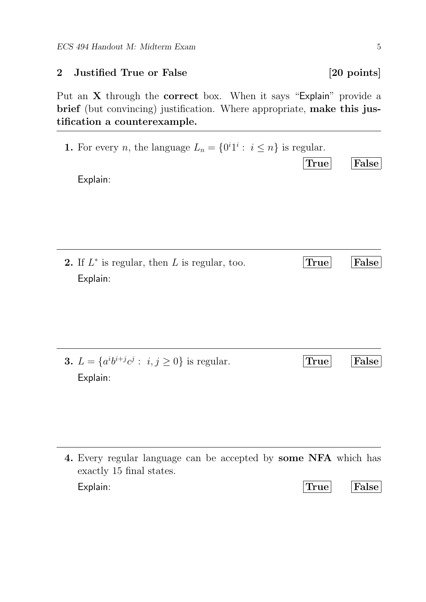### 2 Justified True or False [20 points]

Put an X through the correct box. When it says "Explain" provide a brief (but convincing) justification. Where appropriate, make this justification a counterexample.

1. For every *n*, the language  $L_n = \{0^i1^i : i \leq n\}$  is regular.

Explain:

**2.** If  $L^*$  is regular, then  $L$  is regular, too. True False Explain:

**3.**  $L = \{a^i b^{i+j} c^j : i, j \ge 0\}$  is regular. True False Explain:

4. Every regular language can be accepted by some NFA which has exactly 15 final states. Explain: True False

True False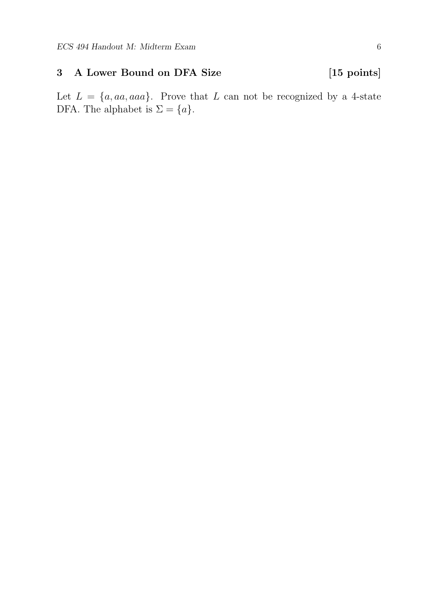# 3 A Lower Bound on DFA Size [15 points]

Let  $L = \{a, aa, aaa\}$ . Prove that L can not be recognized by a 4-state DFA. The alphabet is  $\Sigma = \{a\}.$